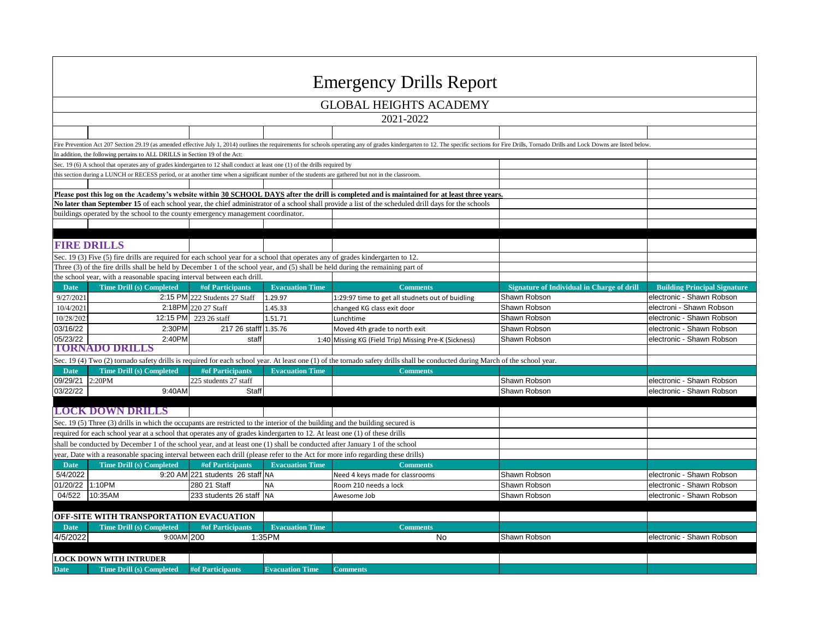| <b>Emergency Drills Report</b>          |                                                                                                                                                   |                                  |                        |                                                                                                                                                                                                                                |                                            |                                     |  |  |  |  |
|-----------------------------------------|---------------------------------------------------------------------------------------------------------------------------------------------------|----------------------------------|------------------------|--------------------------------------------------------------------------------------------------------------------------------------------------------------------------------------------------------------------------------|--------------------------------------------|-------------------------------------|--|--|--|--|
| <b>GLOBAL HEIGHTS ACADEMY</b>           |                                                                                                                                                   |                                  |                        |                                                                                                                                                                                                                                |                                            |                                     |  |  |  |  |
| 2021-2022                               |                                                                                                                                                   |                                  |                        |                                                                                                                                                                                                                                |                                            |                                     |  |  |  |  |
|                                         |                                                                                                                                                   |                                  |                        |                                                                                                                                                                                                                                |                                            |                                     |  |  |  |  |
|                                         |                                                                                                                                                   |                                  |                        | Fire Prevention Act 207 Section 29.19 (as amended effective July 1, 2014) outlines the requirements for schools operating any of grades kindergarten to 12. The specific sections for Fire Drills, Tornado Drills and Lock Dow |                                            |                                     |  |  |  |  |
|                                         | In addition, the following pertains to ALL DRILLS in Section 19 of the Act:                                                                       |                                  |                        |                                                                                                                                                                                                                                |                                            |                                     |  |  |  |  |
|                                         | Sec. 19 (6) A school that operates any of grades kindergarten to 12 shall conduct at least one (1) of the drills required by                      |                                  |                        |                                                                                                                                                                                                                                |                                            |                                     |  |  |  |  |
|                                         | this section during a LUNCH or RECESS period, or at another time when a significant number of the students are gathered but not in the classroom. |                                  |                        |                                                                                                                                                                                                                                |                                            |                                     |  |  |  |  |
|                                         |                                                                                                                                                   |                                  |                        |                                                                                                                                                                                                                                |                                            |                                     |  |  |  |  |
|                                         |                                                                                                                                                   |                                  |                        | Please post this log on the Academy's website within 30 SCHOOL DAYS after the drill is completed and is maintained for at least three years.                                                                                   |                                            |                                     |  |  |  |  |
|                                         |                                                                                                                                                   |                                  |                        | No later than September 15 of each school year, the chief administrator of a school shall provide a list of the scheduled drill days for the schools                                                                           |                                            |                                     |  |  |  |  |
|                                         | buildings operated by the school to the county emergency management coordinator.                                                                  |                                  |                        |                                                                                                                                                                                                                                |                                            |                                     |  |  |  |  |
|                                         |                                                                                                                                                   |                                  |                        |                                                                                                                                                                                                                                |                                            |                                     |  |  |  |  |
|                                         | <b>FIRE DRILLS</b>                                                                                                                                |                                  |                        |                                                                                                                                                                                                                                |                                            |                                     |  |  |  |  |
|                                         |                                                                                                                                                   |                                  |                        |                                                                                                                                                                                                                                |                                            |                                     |  |  |  |  |
|                                         | Sec. 19 (3) Five (5) fire drills are required for each school year for a school that operates any of grades kindergarten to 12.                   |                                  |                        |                                                                                                                                                                                                                                |                                            |                                     |  |  |  |  |
|                                         | Three (3) of the fire drills shall be held by December 1 of the school year, and (5) shall be held during the remaining part of                   |                                  |                        |                                                                                                                                                                                                                                |                                            |                                     |  |  |  |  |
| <b>Date</b>                             | the school year, with a reasonable spacing interval between each drill.                                                                           | <b>#of Participants</b>          | <b>Evacuation Time</b> | <b>Comments</b>                                                                                                                                                                                                                | Signature of Individual in Charge of drill | <b>Building Principal Signature</b> |  |  |  |  |
| 9/27/2021                               | <b>Time Drill (s) Completed</b>                                                                                                                   | 2:15 PM 222 Students 27 Staff    | 1.29.97                |                                                                                                                                                                                                                                | Shawn Robson                               | electronic - Shawn Robson           |  |  |  |  |
| 10/4/2021                               |                                                                                                                                                   | 2:18PM 220 27 Staff              | 1.45.33                | 1:29:97 time to get all studnets out of buidling                                                                                                                                                                               | Shawn Robson                               | electroni - Shawn Robson            |  |  |  |  |
| 10/28/202                               | 12:15 PM                                                                                                                                          | 223 26 staff                     |                        | changed KG class exit door                                                                                                                                                                                                     | Shawn Robson                               | electronic - Shawn Robson           |  |  |  |  |
| 03/16/22                                | 2:30PM                                                                                                                                            | 217 26 stafff                    | 1.51.71                | Lunchtime                                                                                                                                                                                                                      | Shawn Robson                               | electronic - Shawn Robson           |  |  |  |  |
| 05/23/22                                | 2:40PM                                                                                                                                            | staft                            | 1.35.76                | Moved 4th grade to north exit                                                                                                                                                                                                  | Shawn Robson                               | electronic - Shawn Robson           |  |  |  |  |
|                                         | <b>TORNADO DRILLS</b>                                                                                                                             |                                  |                        | 1:40 Missing KG (Field Trip) Missing Pre-K (Sickness)                                                                                                                                                                          |                                            |                                     |  |  |  |  |
|                                         |                                                                                                                                                   |                                  |                        |                                                                                                                                                                                                                                |                                            |                                     |  |  |  |  |
|                                         |                                                                                                                                                   |                                  |                        | Sec. 19 (4) Two (2) tornado safety drills is required for each school year. At least one (1) of the tornado safety drills shall be conducted during March of the school year.                                                  |                                            |                                     |  |  |  |  |
| <b>Date</b>                             | <b>Time Drill (s) Completed</b><br>2:20PM                                                                                                         | #of Participants                 | <b>Evacuation Time</b> | <b>Comments</b>                                                                                                                                                                                                                |                                            |                                     |  |  |  |  |
| 09/29/21<br>03/22/22                    |                                                                                                                                                   | 225 students 27 staff            |                        |                                                                                                                                                                                                                                | Shawn Robson                               | electronic - Shawn Robson           |  |  |  |  |
|                                         | 9:40AM                                                                                                                                            | Staff                            |                        |                                                                                                                                                                                                                                | Shawn Robson                               | electronic - Shawn Robson           |  |  |  |  |
|                                         | <b>LOCK DOWN DRILLS</b>                                                                                                                           |                                  |                        |                                                                                                                                                                                                                                |                                            |                                     |  |  |  |  |
|                                         | Sec. 19 (5) Three (3) drills in which the occupants are restricted to the interior of the building and the building secured is                    |                                  |                        |                                                                                                                                                                                                                                |                                            |                                     |  |  |  |  |
|                                         | required for each school year at a school that operates any of grades kindergarten to 12. At least one (1) of these drills                        |                                  |                        |                                                                                                                                                                                                                                |                                            |                                     |  |  |  |  |
|                                         | shall be conducted by December 1 of the school year, and at least one (1) shall be conducted after January 1 of the school                        |                                  |                        |                                                                                                                                                                                                                                |                                            |                                     |  |  |  |  |
|                                         | year, Date with a reasonable spacing interval between each drill (please refer to the Act for more info regarding these drills)                   |                                  |                        |                                                                                                                                                                                                                                |                                            |                                     |  |  |  |  |
| <b>Date</b>                             | <b>Time Drill (s) Completed</b>                                                                                                                   | #of Participants                 | <b>Evacuation Time</b> | <b>Comments</b>                                                                                                                                                                                                                |                                            |                                     |  |  |  |  |
| 5/4/2022                                |                                                                                                                                                   | 9:20 AM 221 students 26 staff NA |                        | Need 4 keys made for classrooms                                                                                                                                                                                                | Shawn Robson                               | electronic - Shawn Robson           |  |  |  |  |
| 01/20/22                                | 1:10PM                                                                                                                                            | 280 21 Staff                     | <b>NA</b>              | Room 210 needs a lock                                                                                                                                                                                                          | Shawn Robson                               | electronic - Shawn Robson           |  |  |  |  |
| 04/522                                  | 10:35AM                                                                                                                                           | 233 students 26 staff NA         |                        | Awesome Job                                                                                                                                                                                                                    | Shawn Robson                               | electronic - Shawn Robson           |  |  |  |  |
|                                         |                                                                                                                                                   |                                  |                        |                                                                                                                                                                                                                                |                                            |                                     |  |  |  |  |
| OFF-SITE WITH TRANSPORTATION EVACUATION |                                                                                                                                                   |                                  |                        |                                                                                                                                                                                                                                |                                            |                                     |  |  |  |  |
| <b>Date</b>                             | <b>Time Drill (s) Completed</b>                                                                                                                   | <b>#of Participants</b>          | <b>Evacuation Time</b> | <b>Comments</b>                                                                                                                                                                                                                |                                            |                                     |  |  |  |  |
| 4/5/2022                                | 9:00AM 200                                                                                                                                        |                                  | 1:35PM                 | No                                                                                                                                                                                                                             | Shawn Robson                               | electronic - Shawn Robson           |  |  |  |  |
|                                         |                                                                                                                                                   |                                  |                        |                                                                                                                                                                                                                                |                                            |                                     |  |  |  |  |
|                                         | <b>LOCK DOWN WITH INTRUDER</b>                                                                                                                    |                                  |                        |                                                                                                                                                                                                                                |                                            |                                     |  |  |  |  |
| <b>Date</b>                             | <b>Time Drill (s) Completed</b>                                                                                                                   | <b>#of Participants</b>          | <b>Evacuation Time</b> | <b>Comments</b>                                                                                                                                                                                                                |                                            |                                     |  |  |  |  |